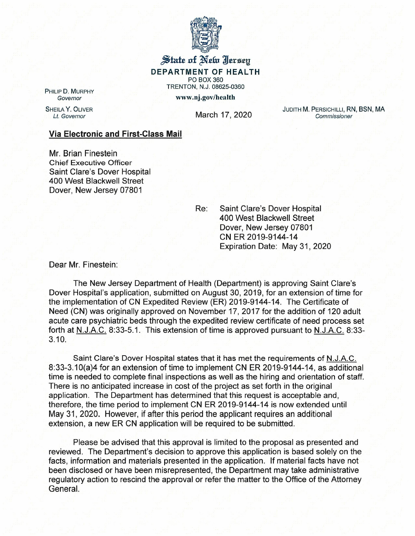

State of New Iersey DEPARTMENT OF HEALTH PO BOX 360 TRENTON, N.J. 08625-0360 www.nj.gov/health

PHILIP D. MURPHY *Governor*

SHEILA Y. OLIVER

*Lt. Governor* March 17, 2020

JUDITH M. PERSICHILLI, RN, BSN, MA *Commissioner*

## Via Electronic and First-Class Mail

Mr. Brian Finestein Chief Executive Officer Saint Clare's Dover Hospital 400 West Blackwell Street Dover, New Jersey 07801

Re: Saint Clare's Dover Hospital 400 West Blackwell Street Dover, New Jersey 07801 CN ER 2019-9144-14 Expiration Date: May 31, 2020

Dear Mr. Finestein:

The New Jersey Department of Health (Department) is approving Saint Clare's Dover Hospital's application, submitted on August 30, 2019, for an extension of time for the implementation of CN Expedited Review (ER) 2019-9144-14. The Certificate of Need (CN) was originally approved on November 17,2017 for the addition of 120 adult acute care psychiatric beds through the expedited review certificate of need process set forth at N.J.A.C. 8:33-5.1. This extension of time is approved pursuant to N.J.A.C. 8:33- 3.10.

Saint Clare's Dover Hospital states that it has met the requirements of N.J.A.C. 8:33-3.10(a)4 for an extension of time to implement CN ER 2019-9144-14, as additional time is needed to complete final inspections as well as the hiring and orientation of staff. There is no anticipated increase in cost of the project as set forth in the original application. The Department has determined that this request is acceptable and, therefore, the time period to implement CN ER 2019-9144-14 is now extended until May 31, 2020. However, if after this period the applicant requires an additional extension, a new ER CN application will be required to be submitted.

Please be advised that this approval is limited to the proposal as presented and reviewed. The Department's decision to approve this application is based solely on the facts, information and materials presented in the application. If material facts have not been disclosed or have been misrepresented, the Department may take administrative regulatory action to rescind the approval or refer the matter to the Office of the Attorney General.